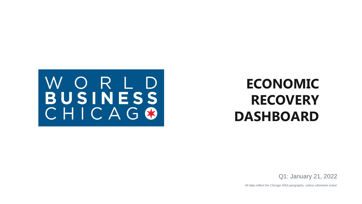

# **ECONOMIC RECOVERY DASHBOARD**

Q1: January 21, 2022

*All data reflect the Chicago MSA geography, unless otherwise noted.*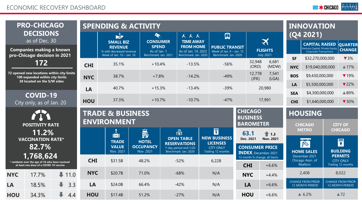|                                                                                                          | <b>PRO-CHICAGO</b>                                                            |                     |                                                                             |                                  | <b>SPENDING &amp; ACTIVITY</b>                       |                                               |                                                                                                                        |                                                      |                          |                      |                                                                                     | <b>INNOVATION</b>                                        |                                 |
|----------------------------------------------------------------------------------------------------------|-------------------------------------------------------------------------------|---------------------|-----------------------------------------------------------------------------|----------------------------------|------------------------------------------------------|-----------------------------------------------|------------------------------------------------------------------------------------------------------------------------|------------------------------------------------------|--------------------------|----------------------|-------------------------------------------------------------------------------------|----------------------------------------------------------|---------------------------------|
|                                                                                                          | <b>DECISIONS</b><br>as of Dec. 30                                             |                     |                                                                             | $\mathbf{r}$<br><b>SMALL BIZ</b> | $\mathcal{A}^{\prime\prime}$<br><b>CONSUMER</b>      |                                               | <b>KKK</b><br><b>TIME AWAY</b>                                                                                         | 国                                                    |                          | $\blacktriangledown$ |                                                                                     | (Q4 2021)                                                |                                 |
| <b>Companies making a known</b><br>pro-Chicago decision in 2021                                          |                                                                               |                     | <b>REVENUE</b><br>% with decreased revenue<br>Week of Jan. $10 -$ Jan. $16$ |                                  | <b>SPEND</b><br>As of Jan. 1<br>Benchmark: Jan. 2021 |                                               | <b>FROM HOME</b><br><b>PUBLIC TRANSIT</b><br>As of Jan. 14, 2022<br>Week of Jan. $9 - Jan. 15$<br>Benchmark: Jan. 2020 | <b>FLIGHTS</b><br><b>July 2021</b>                   |                          |                      | <b>CAPITAL RAISED</b><br>Venture Capital, Private Equity,<br>Corporate Transactions | <b>QUARTER</b><br><b>CHANGE</b>                          |                                 |
|                                                                                                          | 172                                                                           |                     | <b>CHI</b>                                                                  | 35.1%                            | $+10.4%$                                             |                                               | Benchmark: Jan. 2020<br>$-13.5%$                                                                                       | $-56%$                                               | 32,948<br>(ORD)          | 6,681<br>(MDW)       | <b>SF</b><br><b>NYC</b>                                                             | \$32,270,000,000<br>\$19,040,000,000                     | $\blacktriangledown$ 3%<br>▲17% |
|                                                                                                          | 72 opened new locations within city limits<br>100 expanded within city limits |                     | <b>NYC</b>                                                                  | 38.7%                            | $+7.8%$                                              |                                               | $-14.2%$                                                                                                               | $-49%$                                               | 12,778<br>(JFK)          | 7,541<br>(LGA)       | <b>BOS</b>                                                                          | \$9,430,000,000                                          | $\nabla$ 19%                    |
| 38 located on the S/W sides                                                                              |                                                                               | LA                  | 40.7%                                                                       | $+15.3%$                         |                                                      | $-13.4%$                                      | $-39%$                                                                                                                 |                                                      | 20,980                   | LA                   | \$5,500,000,000                                                                     | 722%                                                     |                                 |
| <b>COVID-19</b>                                                                                          |                                                                               |                     |                                                                             |                                  |                                                      |                                               |                                                                                                                        |                                                      |                          | <b>SEA</b>           | \$4,300,000,000                                                                     | ▲89%                                                     |                                 |
| City only, as of Jan. 20                                                                                 |                                                                               | <b>HOU</b>          | 37.3%                                                                       | $+10.7%$                         |                                                      | $-10.7%$                                      | $-47%$                                                                                                                 |                                                      | 17,991                   | <b>CHI</b>           | \$1,640,000,000                                                                     | ▼ 30%                                                    |                                 |
|                                                                                                          |                                                                               |                     | <b>TRADE &amp; BUSINESS</b>                                                 |                                  |                                                      |                                               |                                                                                                                        | <b>CHICAGO</b><br><b>BUSINESS</b>                    |                          |                      | <b>HOUSING</b>                                                                      |                                                          |                                 |
|                                                                                                          | <b>POSITIVITY RATE</b>                                                        |                     |                                                                             | <b>ENVIRONMENT</b>               |                                                      |                                               |                                                                                                                        |                                                      | <b>BAROMETER</b>         |                      |                                                                                     | <b>CHICAGO</b>                                           | <b>CITY OF</b>                  |
|                                                                                                          | 11.2%                                                                         |                     |                                                                             | $\mathbf{A}$                     | <b>Fig</b>                                           |                                               | <b>191</b>                                                                                                             | F                                                    | 63.1                     | ↑ 1.3                |                                                                                     | <b>METRO</b>                                             | <b>CHICAGO</b>                  |
|                                                                                                          | <b>VACCINATION RATE*</b>                                                      |                     |                                                                             | <b>TRADE</b><br><b>VALUE</b>     | <b>HOTEL</b><br><b>OCCUPANCY</b>                     |                                               | <b>OPEN TABLE</b><br><b>RESERVATIONS</b>                                                                               | <b>NEW BUSINESS</b><br><b>LICENSES</b>               | Dec. 2021                | <b>Nov. 2021</b>     |                                                                                     | 11 H H<br>PO                                             |                                 |
| 82.7%                                                                                                    |                                                                               |                     | Nov. 2021                                                                   | Nov. 2021                        |                                                      | 7-day period end 1/20<br>Benchmark: Jan. 2020 | <b>CITY ONLY</b><br>Trailing 12 months                                                                                 | <b>CONSUMER PRICE</b><br><b>INDEX, December 2021</b> |                          |                      | <b>HOME SALES</b>                                                                   | <b>BUILDING</b>                                          |                                 |
| 1,768,624<br>* residents over the age of 18 who have received<br>at least one dose of a COVID-19 vaccine |                                                                               | <b>CHI</b>          | \$31.5B                                                                     | 48.2%                            |                                                      | $-52%$                                        | 6,228                                                                                                                  | 12 month % change, all items                         |                          |                      | December 2021<br>Chicago Assn. of<br><b>Realtors</b>                                | <b>PERMITS</b><br><b>CITY ONLY</b><br>Trailing 12 months |                                 |
| <b>NYC</b>                                                                                               | 17.7%                                                                         | $\downarrow$ 11.0   | <b>NYC</b>                                                                  | \$20.7B                          | 71.0%                                                |                                               | $-68%$                                                                                                                 | N/A                                                  | <b>CHI</b><br><b>NYC</b> | $+6.6%$<br>$+4.4%$   |                                                                                     | 2,408                                                    | 8,022                           |
|                                                                                                          |                                                                               |                     |                                                                             |                                  |                                                      |                                               |                                                                                                                        |                                                      |                          |                      |                                                                                     |                                                          |                                 |
|                                                                                                          |                                                                               |                     |                                                                             |                                  |                                                      |                                               |                                                                                                                        |                                                      |                          |                      |                                                                                     | <b>CHANGE FROM PRIOR</b>                                 | <b>CHANGE FROM PRIOR</b>        |
| LA                                                                                                       | 18.5%                                                                         | $\downarrow$<br>3.3 | LA                                                                          | \$24.0B                          | 66.4%                                                |                                               | $-42%$                                                                                                                 | N/A                                                  | LA                       | $+6.6%$              |                                                                                     | <b>12 MONTH PERIOD</b>                                   | 12 MONTH PERIOD                 |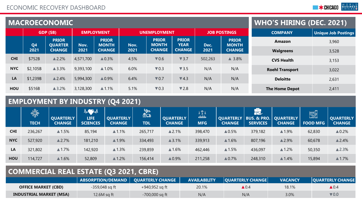|            |                              | <b>MACROECONOMIC</b>           | <b>WHO'S HIRING (DEC. 2021)</b> |                              |      |                              |                             |                |                              |                        |       |
|------------|------------------------------|--------------------------------|---------------------------------|------------------------------|------|------------------------------|-----------------------------|----------------|------------------------------|------------------------|-------|
|            | GDP(SB)<br><b>EMPLOYMENT</b> |                                | <b>UNEMPLOYMENT</b>             |                              |      | <b>JOB POSTINGS</b>          |                             | <b>COMPANY</b> | <b>Unique Job Postings</b>   |                        |       |
|            | Q <sub>4</sub>               | <b>PRIOR</b><br><b>QUARTER</b> | Nov.                            | <b>PRIOR</b><br><b>MONTH</b> | Nov. | <b>PRIOR</b><br><b>MONTH</b> | <b>PRIOR</b><br><b>YEAR</b> | Dec.           | <b>PRIOR</b><br><b>MONTH</b> | Amazon                 | 3,960 |
|            | 2021                         | <b>CHANGE</b>                  | 2021                            | <b>CHANGE</b>                | 2021 | <b>CHANGE</b>                | <b>CHANGE</b>               | 2021           | <b>CHANGE</b>                | <b>Walgreens</b>       | 3,528 |
| <b>CHI</b> | \$752B                       | $\triangle$ 2.2%               | 4,571,700                       | $\triangle 0.3\%$            | 4.5% | $\nabla 0.6$                 | $\blacktriangledown$ 3.7    | 502,263        | $\triangle$ 3.8%             | <b>CVS Health</b>      | 3,153 |
| <b>NYC</b> | \$2,105B                     | $\triangle$ 3.3%               | 9,393,100                       | $\triangle$ 1.0%             | 6.0% | $\nabla 0.3$                 | $\blacktriangledown$ 3.5    | N/A            | N/A                          | <b>Roehl Transport</b> | 3,022 |
| LA         | \$1,239B                     | $\triangle$ 2.4%               | 5,994,300                       | $\triangle 0.9\%$            | 6.4% | $\nabla 0.7$                 | $\nabla$ 4.3                | N/A            | N/A                          | <b>Deloitte</b>        | 2,631 |
| HOU        | \$516B                       | $\triangle$ 3.2%               | 3,128,300                       | $\triangle$ 1.1%             | 5.1% | $\nabla 0.3$                 | $\nabla 2.8$                | N/A            | N/A                          | <b>The Home Depot</b>  | 2,411 |

## **EMPLOYMENT BY INDUSTRY (Q4 2021)**

|            | ॷॏॏॗॣ <sub>ड़</sub><br><b>TECH</b> | <b>QUARTERLY</b><br><b>CHANGE</b> | WOW<br><b>LIFE</b><br><b>SCIENCES</b> | QUARTERLY<br><b>CHANGE</b> | <b>Report</b><br>最に<br><b>TDL</b> | <b>QUARTERLY</b><br><b>CHANGE</b> | $\frac{1}{6}$ $\frac{1}{6}$ $\frac{1}{6}$ $\frac{1}{6}$<br><b>MFG</b> | <b>QUARTERLY</b><br><b>CHANGE</b> | $\sim$ $ \sim$<br>FS.<br>  BUS. & PRO.   QUARTERLY  <br><b>SERVICES</b> | <b>CHANGE</b>    | <u>ei</u><br><b>FOOD MFG</b> | <b>QUARTERLY</b><br><b>CHANGE</b> |
|------------|------------------------------------|-----------------------------------|---------------------------------------|----------------------------|-----------------------------------|-----------------------------------|-----------------------------------------------------------------------|-----------------------------------|-------------------------------------------------------------------------|------------------|------------------------------|-----------------------------------|
| <b>CHI</b> | 236,267                            | $\triangle$ 1.5%                  | 85,194                                | $\triangle$ 1.1%           | 265,717                           | $\triangle$ 2.1%                  | 398,470                                                               | $\triangle 0.5\%$                 | 379,182                                                                 | ▲1.9%            | 62,830                       | $\triangle 0.2\%$                 |
| <b>NYC</b> | 527,920                            | $\triangle$ 2.7%                  | 181,210                               | $\triangle$ 1.9%           | 334,493                           | $\triangle$ 3.1%                  | 339,913                                                               | $\triangle$ 1.6%                  | 807,196                                                                 | $\triangle$ 2.9% | 60,678                       | $\triangle$ 2.4%                  |
| LA         | 321,802                            | $\triangle$ 1.7%                  | 142,920                               | $\triangle$ 1.3%           | 239,859                           | $\triangle$ 1.6%                  | 462,446                                                               | $\triangle$ 1.5%                  | 436,097                                                                 | $\triangle$ 1.2% | 50,350                       | $\triangle$ 2.3%                  |
| HOU        | 114,727                            | $\triangle$ 1.6%                  | 52,809                                | $\triangle$ 1.2%           | 156,414                           | $\triangle 0.9\%$                 | 211,258                                                               | $\triangle 0.7\%$                 | 248,310                                                                 | $\triangle$ 1.4% | 15,894                       | $\triangle$ 1.7%                  |

### **COMMERCIAL REAL ESTATE (Q3 2021, CBRE)**

|                                | ABSORPTION/DEMAND   QUARTERLY CHANGE |                | <b>AVAILABILITY</b> | <b>OUARTERLY CHANGE</b> | <b>VACANCY</b> | <b>QUARTERLY CHANGE</b>  |
|--------------------------------|--------------------------------------|----------------|---------------------|-------------------------|----------------|--------------------------|
| <b>OFFICE MARKET (CBD)</b>     | $-359,048$ sq ft                     | +940,952 sq ft | 20.1%               | $\blacktriangle 0.4$    | 18.1%          | $\blacktriangle 0.4$     |
| <b>INDUSTRIAL MARKET (MSA)</b> | 12.6M sg ft                          | -700,000 sq ft | N/A                 | N/A                     | 3.0%           | $\blacktriangledown$ 0.0 |